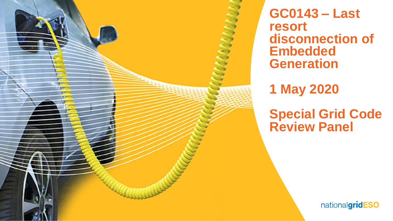

**GC0143 – Last resort disconnection of Embedded Generation**

**1 May 2020**

**Special Grid Code Review Panel**

nationalgridESO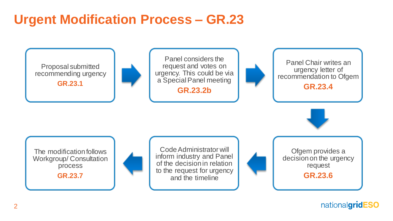# **Urgent Modification Process – GR.23**



nationalgridESO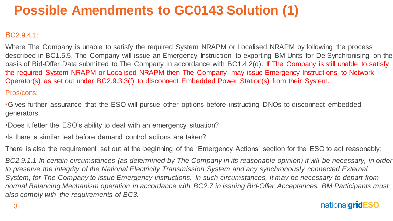# **Possible Amendments to GC0143 Solution (1)**

#### BC2.9.4.1:

Where The Company is unable to satisfy the required System NRAPM or Localised NRAPM by following the process described in BC1.5.5, The Company will issue an Emergency Instruction to exporting BM Units for De-Synchronising on the basis of Bid-Offer Data submitted to The Company in accordance with BC1.4.2(d). If The Company is still unable to satisfy the required System NRAPM or Localised NRAPM then The Company may issue Emergency Instructions to Network Operator(s) as set out under BC2.9.3.3(f) to disconnect Embedded Power Station(s) from their System.

#### Pros/cons:

- •Gives further assurance that the ESO will pursue other options before instructing DNOs to disconnect embedded generators
- •Does it fetter the ESO's ability to deal with an emergency situation?
- Is there a similar test before demand control actions are taken?

There is also the requirement set out at the beginning of the 'Emergency Actions' section for the ESO to act reasonably:

*BC2.9.1.1 In certain circumstances (as determined by The Company in its reasonable opinion) it will be necessary, in order to preserve the integrity of the National Electricity Transmission System and any synchronously connected External System, for The Company to issue Emergency Instructions. In such circumstances, it may be necessary to depart from normal Balancing Mechanism operation in accordance with BC2.7 in issuing Bid-Offer Acceptances. BM Participants must also comply with the requirements of BC3.*

### nationalgridESO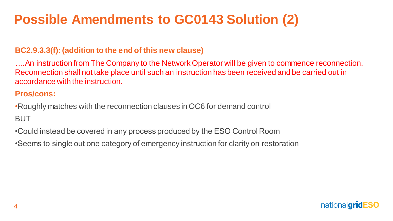# **Possible Amendments to GC0143 Solution (2)**

### **BC2.9.3.3(f): (addition to the end of this new clause)**

*….*An instruction from The Company to the Network Operator will be given to commence reconnection. Reconnection shall not take place until such an instruction has been received and be carried out in accordance with the instruction.

### **Pros/cons:**

•Roughly matches with the reconnection clauses in OC6 for demand control BUT

•Could instead be covered in any process produced by the ESO Control Room

•Seems to single out one category of emergency instruction for clarity on restoration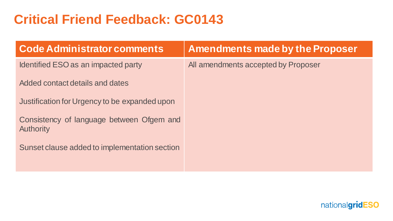# **Critical Friend Feedback: GC0143**

| <b>Code Administrator comments</b>                            | <b>Amendments made by the Proposer</b> |
|---------------------------------------------------------------|----------------------------------------|
| Identified ESO as an impacted party                           | All amendments accepted by Proposer    |
| Added contact details and dates                               |                                        |
| Justification for Urgency to be expanded upon                 |                                        |
| Consistency of language between Ofgem and<br><b>Authority</b> |                                        |
| Sunset clause added to implementation section                 |                                        |
|                                                               |                                        |

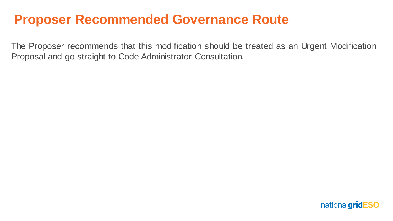## **Proposer Recommended Governance Route**

The Proposer recommends that this modification should be treated as an Urgent Modification Proposal and go straight to Code Administrator Consultation.

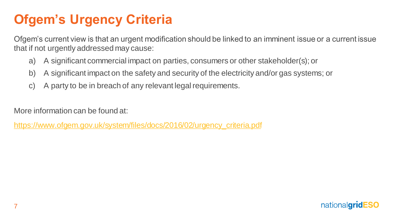# **Ofgem's Urgency Criteria**

Ofgem's current view is that an urgent modification should be linked to an imminent issue or a current issue that if not urgently addressed may cause:

- a) A significant commercial impact on parties, consumers or other stakeholder(s); or
- b) A significant impact on the safety and security of the electricity and/or gas systems; or
- c) A party to be in breach of any relevant legal requirements.

More information can be found at:

[https://www.ofgem.gov.uk/system/files/docs/2016/02/urgency\\_criteria.pdf](https://www.ofgem.gov.uk/system/files/docs/2016/02/urgency_criteria.pdf)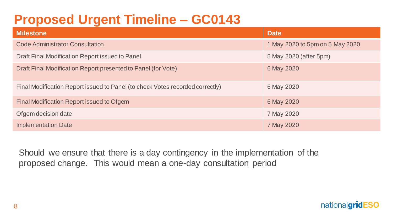# **Proposed Urgent Timeline – GC0143**

| <b>Milestone</b>                                                              | <b>Date</b>                     |
|-------------------------------------------------------------------------------|---------------------------------|
| <b>Code Administrator Consultation</b>                                        | 1 May 2020 to 5pm on 5 May 2020 |
| Draft Final Modification Report issued to Panel                               | 5 May 2020 (after 5pm)          |
| Draft Final Modification Report presented to Panel (for Vote)                 | 6 May 2020                      |
| Final Modification Report issued to Panel (to check Votes recorded correctly) | 6 May 2020                      |
| Final Modification Report issued to Ofgem                                     | 6 May 2020                      |
| Ofgem decision date                                                           | 7 May 2020                      |
| <b>Implementation Date</b>                                                    | 7 May 2020                      |

Should we ensure that there is a day contingency in the implementation of the proposed change. This would mean a one-day consultation period

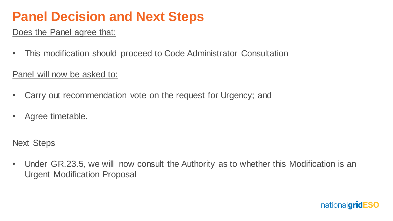## **Panel Decision and Next Steps**

### Does the Panel agree that:

• This modification should proceed to Code Administrator Consultation

## Panel will now be asked to:

- Carry out recommendation vote on the request for Urgency; and
- Agree timetable.

## **Next Steps**

• Under GR.23.5, we will now consult the Authority as to whether this Modification is an Urgent Modification Proposal.